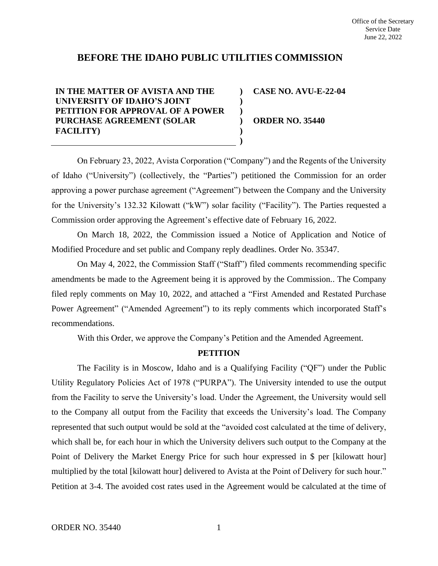# **BEFORE THE IDAHO PUBLIC UTILITIES COMMISSION**

**) ) ) ) ) )**

**IN THE MATTER OF AVISTA AND THE UNIVERSITY OF IDAHO'S JOINT PETITION FOR APPROVAL OF A POWER PURCHASE AGREEMENT (SOLAR FACILITY)**

**CASE NO. AVU-E-22-04**

**ORDER NO. 35440**

On February 23, 2022, Avista Corporation ("Company") and the Regents of the University of Idaho ("University") (collectively, the "Parties") petitioned the Commission for an order approving a power purchase agreement ("Agreement") between the Company and the University for the University's 132.32 Kilowatt ("kW") solar facility ("Facility"). The Parties requested a Commission order approving the Agreement's effective date of February 16, 2022.

On March 18, 2022, the Commission issued a Notice of Application and Notice of Modified Procedure and set public and Company reply deadlines. Order No. 35347.

On May 4, 2022, the Commission Staff ("Staff") filed comments recommending specific amendments be made to the Agreement being it is approved by the Commission.. The Company filed reply comments on May 10, 2022, and attached a "First Amended and Restated Purchase Power Agreement" ("Amended Agreement") to its reply comments which incorporated Staff's recommendations.

With this Order, we approve the Company's Petition and the Amended Agreement.

# **PETITION**

The Facility is in Moscow, Idaho and is a Qualifying Facility ("QF") under the Public Utility Regulatory Policies Act of 1978 ("PURPA"). The University intended to use the output from the Facility to serve the University's load. Under the Agreement, the University would sell to the Company all output from the Facility that exceeds the University's load. The Company represented that such output would be sold at the "avoided cost calculated at the time of delivery, which shall be, for each hour in which the University delivers such output to the Company at the Point of Delivery the Market Energy Price for such hour expressed in \$ per [kilowatt hour] multiplied by the total [kilowatt hour] delivered to Avista at the Point of Delivery for such hour." Petition at 3-4. The avoided cost rates used in the Agreement would be calculated at the time of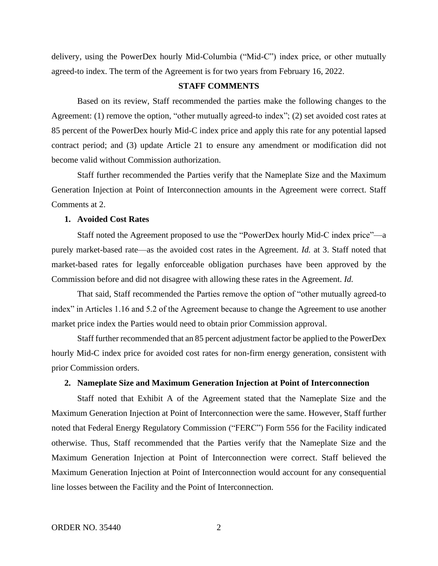delivery, using the PowerDex hourly Mid-Columbia ("Mid-C") index price, or other mutually agreed-to index. The term of the Agreement is for two years from February 16, 2022.

# **STAFF COMMENTS**

Based on its review, Staff recommended the parties make the following changes to the Agreement: (1) remove the option, "other mutually agreed-to index"; (2) set avoided cost rates at 85 percent of the PowerDex hourly Mid-C index price and apply this rate for any potential lapsed contract period; and (3) update Article 21 to ensure any amendment or modification did not become valid without Commission authorization.

Staff further recommended the Parties verify that the Nameplate Size and the Maximum Generation Injection at Point of Interconnection amounts in the Agreement were correct. Staff Comments at 2.

### **1. Avoided Cost Rates**

Staff noted the Agreement proposed to use the "PowerDex hourly Mid-C index price"—a purely market-based rate—as the avoided cost rates in the Agreement. *Id.* at 3. Staff noted that market-based rates for legally enforceable obligation purchases have been approved by the Commission before and did not disagree with allowing these rates in the Agreement. *Id.* 

That said, Staff recommended the Parties remove the option of "other mutually agreed-to index" in Articles 1.16 and 5.2 of the Agreement because to change the Agreement to use another market price index the Parties would need to obtain prior Commission approval.

Staff further recommended that an 85 percent adjustment factor be applied to the PowerDex hourly Mid-C index price for avoided cost rates for non-firm energy generation, consistent with prior Commission orders.

# **2. Nameplate Size and Maximum Generation Injection at Point of Interconnection**

Staff noted that Exhibit A of the Agreement stated that the Nameplate Size and the Maximum Generation Injection at Point of Interconnection were the same. However, Staff further noted that Federal Energy Regulatory Commission ("FERC") Form 556 for the Facility indicated otherwise. Thus, Staff recommended that the Parties verify that the Nameplate Size and the Maximum Generation Injection at Point of Interconnection were correct. Staff believed the Maximum Generation Injection at Point of Interconnection would account for any consequential line losses between the Facility and the Point of Interconnection.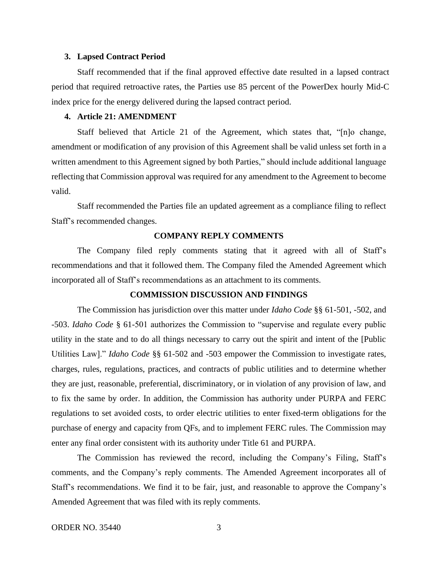#### **3. Lapsed Contract Period**

Staff recommended that if the final approved effective date resulted in a lapsed contract period that required retroactive rates, the Parties use 85 percent of the PowerDex hourly Mid-C index price for the energy delivered during the lapsed contract period.

### **4. Article 21: AMENDMENT**

Staff believed that Article 21 of the Agreement, which states that, "[n]o change, amendment or modification of any provision of this Agreement shall be valid unless set forth in a written amendment to this Agreement signed by both Parties," should include additional language reflecting that Commission approval was required for any amendment to the Agreement to become valid.

Staff recommended the Parties file an updated agreement as a compliance filing to reflect Staff's recommended changes.

# **COMPANY REPLY COMMENTS**

The Company filed reply comments stating that it agreed with all of Staff's recommendations and that it followed them. The Company filed the Amended Agreement which incorporated all of Staff's recommendations as an attachment to its comments.

# **COMMISSION DISCUSSION AND FINDINGS**

The Commission has jurisdiction over this matter under *Idaho Code* §§ 61-501, -502, and -503. *Idaho Code* § 61-501 authorizes the Commission to "supervise and regulate every public utility in the state and to do all things necessary to carry out the spirit and intent of the [Public Utilities Law]." *Idaho Code* §§ 61-502 and -503 empower the Commission to investigate rates, charges, rules, regulations, practices, and contracts of public utilities and to determine whether they are just, reasonable, preferential, discriminatory, or in violation of any provision of law, and to fix the same by order. In addition, the Commission has authority under PURPA and FERC regulations to set avoided costs, to order electric utilities to enter fixed-term obligations for the purchase of energy and capacity from QFs, and to implement FERC rules. The Commission may enter any final order consistent with its authority under Title 61 and PURPA.

The Commission has reviewed the record, including the Company's Filing, Staff's comments, and the Company's reply comments. The Amended Agreement incorporates all of Staff's recommendations. We find it to be fair, just, and reasonable to approve the Company's Amended Agreement that was filed with its reply comments.